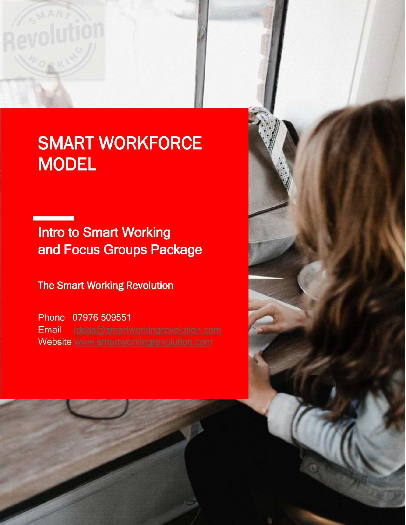# **SMART WORKFORCE MODEL**

**Intro to Smart Working** and Focus Groups Package

**The Smart Working Revolution** 

Phone 07976 509551 Email Website www.smartworkingrevolution.com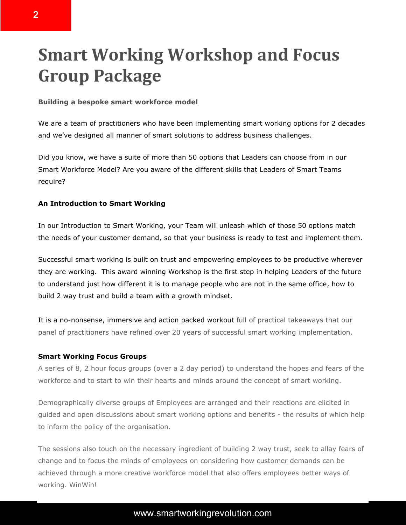## **Smart Working Workshop and Focus Group Package**

## **Building a bespoke smart workforce model**

We are a team of practitioners who have been implementing smart working options for 2 decades and we've designed all manner of smart solutions to address business challenges.

Did you know, we have a suite of more than 50 options that Leaders can choose from in our Smart Workforce Model? Are you aware of the different skills that Leaders of Smart Teams require?

## **An Introduction to Smart Working**

In our Introduction to Smart Working, your Team will unleash which of those 50 options match the needs of your customer demand, so that your business is ready to test and implement them.

Successful smart working is built on trust and empowering employees to be productive wherever they are working. This award winning Workshop is the first step in helping Leaders of the future to understand just how different it is to manage people who are not in the same office, how to build 2 way trust and build a team with a growth mindset.

It is a no-nonsense, immersive and action packed workout full of practical takeaways that our panel of practitioners have refined over 20 years of successful smart working implementation.

## **Smart Working Focus Groups**

A series of 8, 2 hour focus groups (over a 2 day period) to understand the hopes and fears of the workforce and to start to win their hearts and minds around the concept of smart working.

Demographically diverse groups of Employees are arranged and their reactions are elicited in guided and open discussions about smart working options and benefits - the results of which help to inform the policy of the organisation.

The sessions also touch on the necessary ingredient of building 2 way trust, seek to allay fears of change and to focus the minds of employees on considering how customer demands can be achieved through a more creative workforce model that also offers employees better ways of working. WinWin!